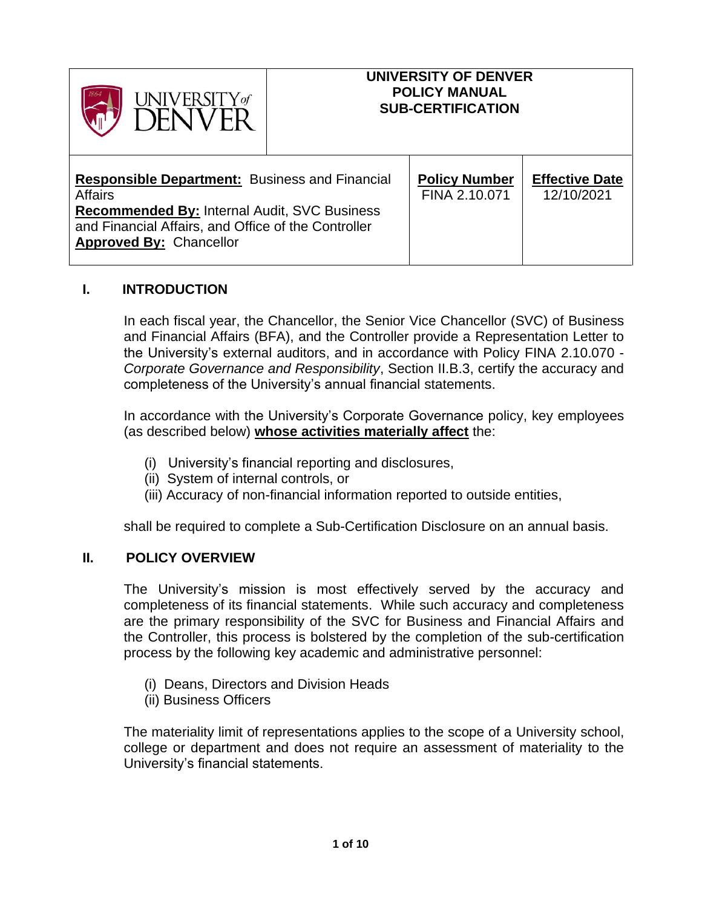

#### **UNIVERSITY OF DENVER POLICY MANUAL SUB-CERTIFICATION**

| <b>Responsible Department:</b> Business and Financial<br><b>Affairs</b><br><b>Recommended By: Internal Audit, SVC Business</b><br>and Financial Affairs, and Office of the Controller<br><b>Approved By: Chancellor</b> | <b>Policy Number</b><br>FINA 2.10.071 | <b>Effective Date</b><br>12/10/2021 |
|-------------------------------------------------------------------------------------------------------------------------------------------------------------------------------------------------------------------------|---------------------------------------|-------------------------------------|
|-------------------------------------------------------------------------------------------------------------------------------------------------------------------------------------------------------------------------|---------------------------------------|-------------------------------------|

### **I. INTRODUCTION**

In each fiscal year, the Chancellor, the Senior Vice Chancellor (SVC) of Business and Financial Affairs (BFA), and the Controller provide a Representation Letter to the University's external auditors, and in accordance with Policy FINA 2.10.070 - *Corporate Governance and Responsibility*, Section II.B.3, certify the accuracy and completeness of the University's annual financial statements.

In accordance with the University's Corporate Governance policy, key employees (as described below) **whose activities materially affect** the:

- (i) University's financial reporting and disclosures,
- (ii) System of internal controls, or
- (iii) Accuracy of non-financial information reported to outside entities,

shall be required to complete a Sub-Certification Disclosure on an annual basis.

#### **II. POLICY OVERVIEW**

The University's mission is most effectively served by the accuracy and completeness of its financial statements. While such accuracy and completeness are the primary responsibility of the SVC for Business and Financial Affairs and the Controller, this process is bolstered by the completion of the sub-certification process by the following key academic and administrative personnel:

- (i) Deans, Directors and Division Heads
- (ii) Business Officers

The materiality limit of representations applies to the scope of a University school, college or department and does not require an assessment of materiality to the University's financial statements.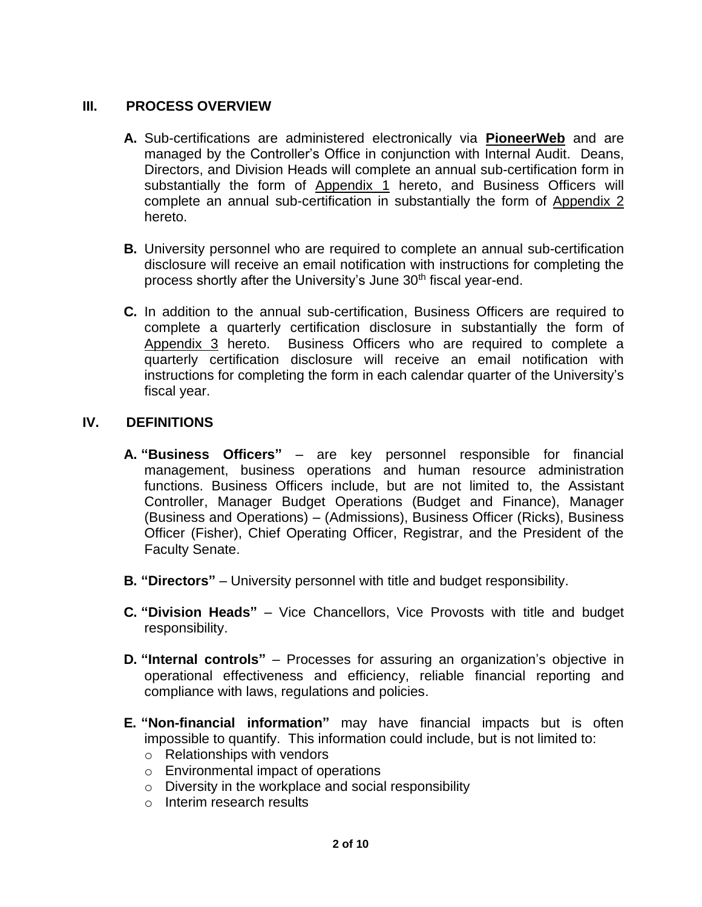### **III. PROCESS OVERVIEW**

- **A.** Sub-certifications are administered electronically via **PioneerWeb** and are managed by the Controller's Office in conjunction with Internal Audit. Deans, Directors, and Division Heads will complete an annual sub-certification form in substantially the form of Appendix 1 hereto, and Business Officers will complete an annual sub-certification in substantially the form of Appendix 2 hereto.
- **B.** University personnel who are required to complete an annual sub-certification disclosure will receive an email notification with instructions for completing the process shortly after the University's June 30<sup>th</sup> fiscal year-end.
- **C.** In addition to the annual sub-certification, Business Officers are required to complete a quarterly certification disclosure in substantially the form of Appendix 3 hereto. Business Officers who are required to complete a quarterly certification disclosure will receive an email notification with instructions for completing the form in each calendar quarter of the University's fiscal year.

#### **IV. DEFINITIONS**

- **A. "Business Officers"** are key personnel responsible for financial management, business operations and human resource administration functions. Business Officers include, but are not limited to, the Assistant Controller, Manager Budget Operations (Budget and Finance), Manager (Business and Operations) – (Admissions), Business Officer (Ricks), Business Officer (Fisher), Chief Operating Officer, Registrar, and the President of the Faculty Senate.
- **B. "Directors"** University personnel with title and budget responsibility.
- **C. "Division Heads"** Vice Chancellors, Vice Provosts with title and budget responsibility.
- **D. "Internal controls"** Processes for assuring an organization's objective in operational effectiveness and efficiency, reliable financial reporting and compliance with laws, regulations and policies.
- **E. "Non-financial information"** may have financial impacts but is often impossible to quantify. This information could include, but is not limited to:
	- o Relationships with vendors
	- o Environmental impact of operations
	- o Diversity in the workplace and social responsibility
	- o Interim research results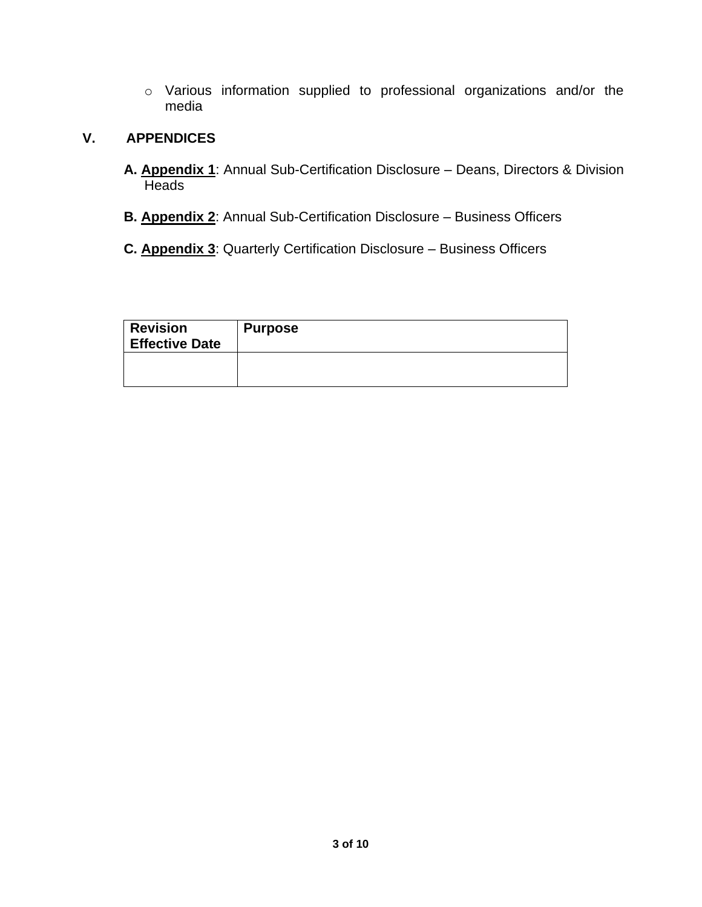o Various information supplied to professional organizations and/or the media

# **V. APPENDICES**

- **A. Appendix 1**: Annual Sub-Certification Disclosure Deans, Directors & Division **Heads**
- **B. Appendix 2**: Annual Sub-Certification Disclosure Business Officers
- **C. Appendix 3**: Quarterly Certification Disclosure Business Officers

| <b>Revision</b><br><b>Effective Date</b> | <b>Purpose</b> |
|------------------------------------------|----------------|
|                                          |                |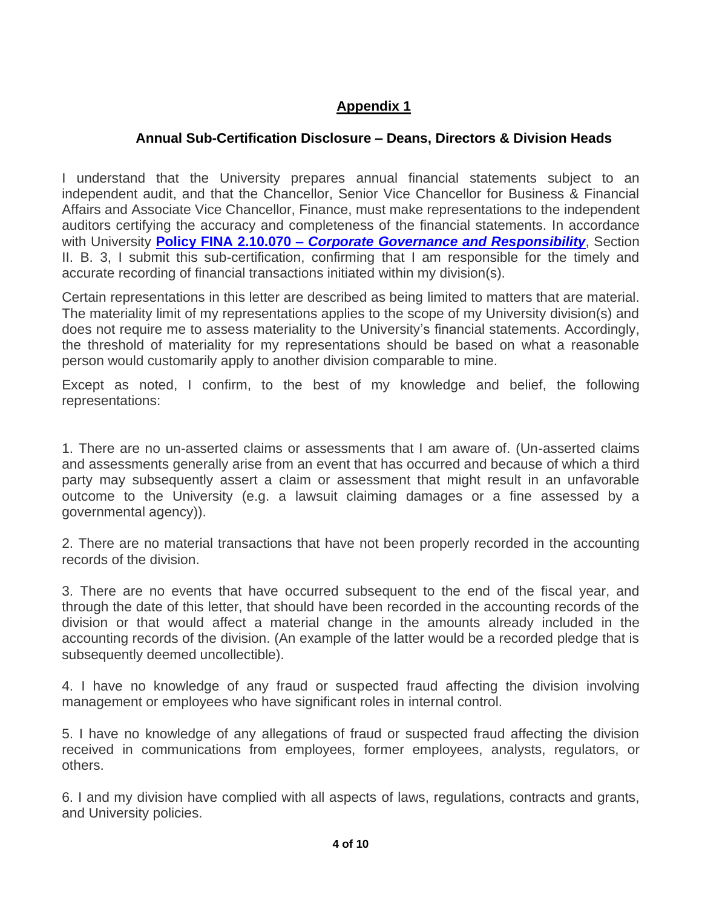# **Appendix 1**

# **Annual Sub-Certification Disclosure – Deans, Directors & Division Heads**

I understand that the University prepares annual financial statements subject to an independent audit, and that the Chancellor, Senior Vice Chancellor for Business & Financial Affairs and Associate Vice Chancellor, Finance, must make representations to the independent auditors certifying the accuracy and completeness of the financial statements. In accordance with University **Policy FINA 2.10.070 –** *[Corporate Governance and Responsibility](https://www.du.edu/sites/default/files/2021-06/FINA%202.10.070%20corp%20governance.pdf)*, Section II. B. 3, I submit this sub-certification, confirming that I am responsible for the timely and accurate recording of financial transactions initiated within my division(s).

Certain representations in this letter are described as being limited to matters that are material. The materiality limit of my representations applies to the scope of my University division(s) and does not require me to assess materiality to the University's financial statements. Accordingly, the threshold of materiality for my representations should be based on what a reasonable person would customarily apply to another division comparable to mine.

Except as noted, I confirm, to the best of my knowledge and belief, the following representations:

1. There are no un-asserted claims or assessments that I am aware of. (Un-asserted claims and assessments generally arise from an event that has occurred and because of which a third party may subsequently assert a claim or assessment that might result in an unfavorable outcome to the University (e.g. a lawsuit claiming damages or a fine assessed by a governmental agency)).

2. There are no material transactions that have not been properly recorded in the accounting records of the division.

3. There are no events that have occurred subsequent to the end of the fiscal year, and through the date of this letter, that should have been recorded in the accounting records of the division or that would affect a material change in the amounts already included in the accounting records of the division. (An example of the latter would be a recorded pledge that is subsequently deemed uncollectible).

4. I have no knowledge of any fraud or suspected fraud affecting the division involving management or employees who have significant roles in internal control.

5. I have no knowledge of any allegations of fraud or suspected fraud affecting the division received in communications from employees, former employees, analysts, regulators, or others.

6. I and my division have complied with all aspects of laws, regulations, contracts and grants, and University policies.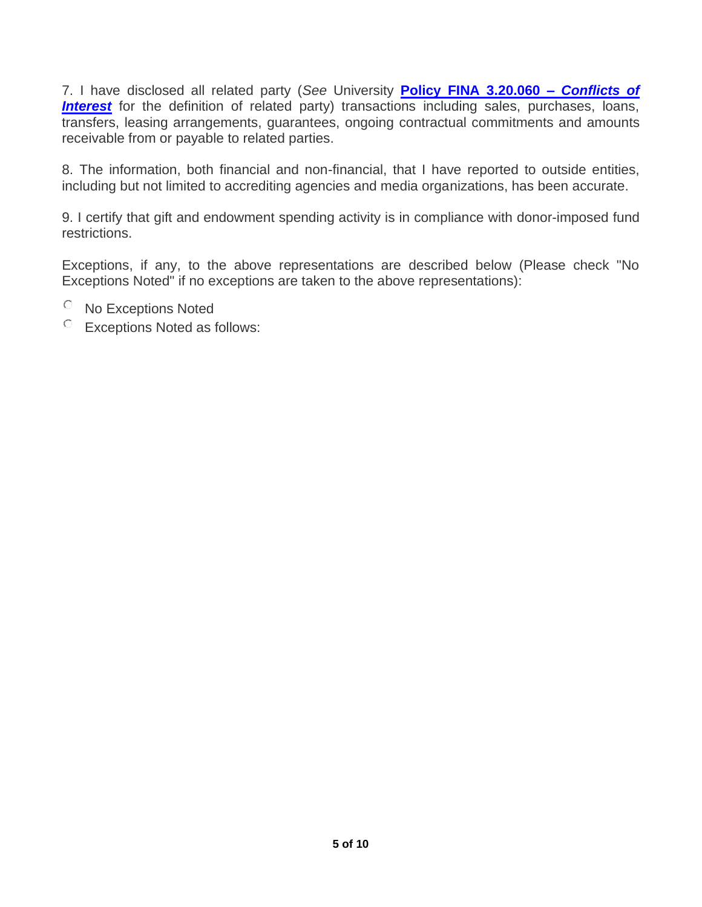7. I have disclosed all related party (*See* University **[Policy FINA 3.20.060 –](https://www.du.edu/sites/default/files/2021-06/AUDT%203.20.060%20Conflict%20of%20Interest%20Policy.pdf)** *Conflicts of*  **[Interest](https://www.du.edu/sites/default/files/2021-06/AUDT%203.20.060%20Conflict%20of%20Interest%20Policy.pdf)** for the definition of related party) transactions including sales, purchases, loans, transfers, leasing arrangements, guarantees, ongoing contractual commitments and amounts receivable from or payable to related parties.

8. The information, both financial and non-financial, that I have reported to outside entities, including but not limited to accrediting agencies and media organizations, has been accurate.

9. I certify that gift and endowment spending activity is in compliance with donor-imposed fund restrictions.

Exceptions, if any, to the above representations are described below (Please check "No Exceptions Noted" if no exceptions are taken to the above representations):

- No Exceptions Noted
- Exceptions Noted as follows: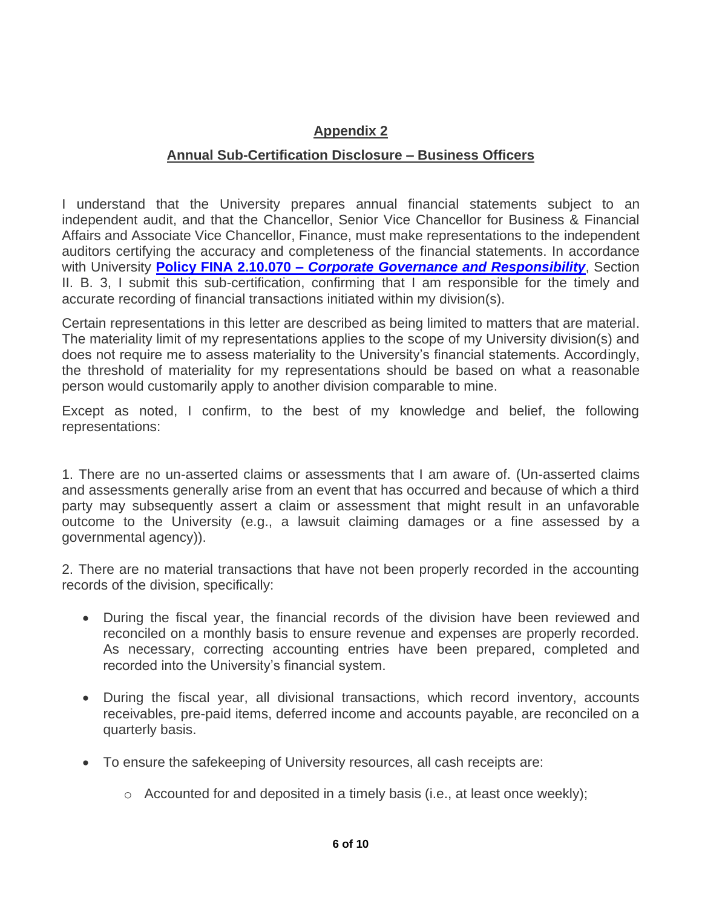# **Appendix 2**

### **Annual Sub-Certification Disclosure – Business Officers**

I understand that the University prepares annual financial statements subject to an independent audit, and that the Chancellor, Senior Vice Chancellor for Business & Financial Affairs and Associate Vice Chancellor, Finance, must make representations to the independent auditors certifying the accuracy and completeness of the financial statements. In accordance with University **Policy FINA 2.10.070 –** *[Corporate Governance and Responsibility](https://www.du.edu/sites/default/files/2021-06/FINA%202.10.070%20corp%20governance.pdf)*, Section II. B. 3, I submit this sub-certification, confirming that I am responsible for the timely and accurate recording of financial transactions initiated within my division(s).

Certain representations in this letter are described as being limited to matters that are material. The materiality limit of my representations applies to the scope of my University division(s) and does not require me to assess materiality to the University's financial statements. Accordingly, the threshold of materiality for my representations should be based on what a reasonable person would customarily apply to another division comparable to mine.

Except as noted, I confirm, to the best of my knowledge and belief, the following representations:

1. There are no un-asserted claims or assessments that I am aware of. (Un-asserted claims and assessments generally arise from an event that has occurred and because of which a third party may subsequently assert a claim or assessment that might result in an unfavorable outcome to the University (e.g., a lawsuit claiming damages or a fine assessed by a governmental agency)).

2. There are no material transactions that have not been properly recorded in the accounting records of the division, specifically:

- During the fiscal year, the financial records of the division have been reviewed and reconciled on a monthly basis to ensure revenue and expenses are properly recorded. As necessary, correcting accounting entries have been prepared, completed and recorded into the University's financial system.
- During the fiscal year, all divisional transactions, which record inventory, accounts receivables, pre-paid items, deferred income and accounts payable, are reconciled on a quarterly basis.
- To ensure the safekeeping of University resources, all cash receipts are:
	- $\circ$  Accounted for and deposited in a timely basis (i.e., at least once weekly);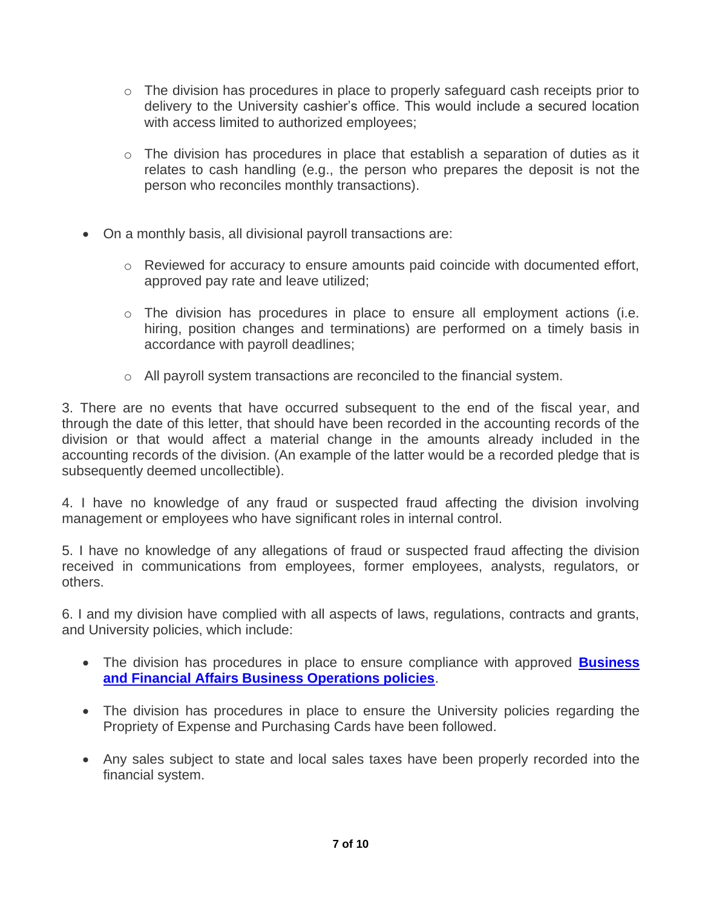- $\circ$  The division has procedures in place to properly safeguard cash receipts prior to delivery to the University cashier's office. This would include a secured location with access limited to authorized employees;
- $\circ$  The division has procedures in place that establish a separation of duties as it relates to cash handling (e.g., the person who prepares the deposit is not the person who reconciles monthly transactions).
- On a monthly basis, all divisional payroll transactions are:
	- $\circ$  Reviewed for accuracy to ensure amounts paid coincide with documented effort, approved pay rate and leave utilized;
	- $\circ$  The division has procedures in place to ensure all employment actions (i.e. hiring, position changes and terminations) are performed on a timely basis in accordance with payroll deadlines;
	- o All payroll system transactions are reconciled to the financial system.

3. There are no events that have occurred subsequent to the end of the fiscal year, and through the date of this letter, that should have been recorded in the accounting records of the division or that would affect a material change in the amounts already included in the accounting records of the division. (An example of the latter would be a recorded pledge that is subsequently deemed uncollectible).

4. I have no knowledge of any fraud or suspected fraud affecting the division involving management or employees who have significant roles in internal control.

5. I have no knowledge of any allegations of fraud or suspected fraud affecting the division received in communications from employees, former employees, analysts, regulators, or others.

6. I and my division have complied with all aspects of laws, regulations, contracts and grants, and University policies, which include:

- The division has procedures in place to ensure compliance with approved **[Business](https://www.du.edu/policy/find-policy)  [and Financial Affairs Business Operations policies](https://www.du.edu/policy/find-policy)**.
- The division has procedures in place to ensure the University policies regarding the Propriety of Expense and Purchasing Cards have been followed.
- Any sales subject to state and local sales taxes have been properly recorded into the financial system.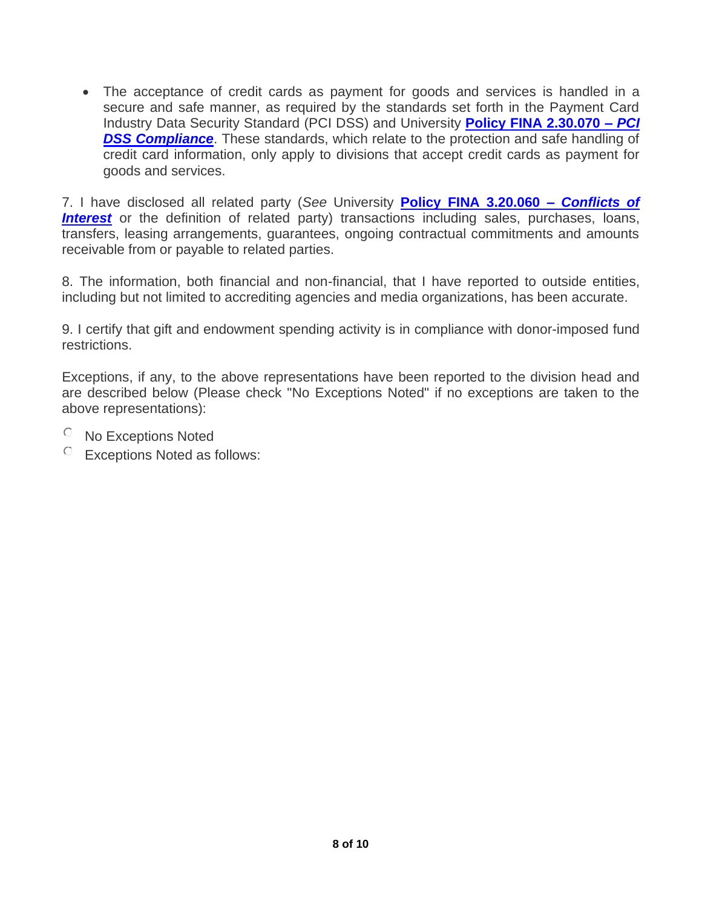• The acceptance of credit cards as payment for goods and services is handled in a secure and safe manner, as required by the standards set forth in the Payment Card Industry Data Security Standard (PCI DSS) and University **[Policy FINA 2.30.070 –](https://www.du.edu/sites/default/files/2021-07/FINA%202.30.070%20PCI%20DSS%20Compliance%20%282%29.pdf)** *PCI*  **[DSS Compliance](https://www.du.edu/sites/default/files/2021-07/FINA%202.30.070%20PCI%20DSS%20Compliance%20%282%29.pdf)**. These standards, which relate to the protection and safe handling of credit card information, only apply to divisions that accept credit cards as payment for goods and services.

7. I have disclosed all related party (*See* University **[Policy FINA 3.20.060 –](https://www.du.edu/sites/default/files/2021-06/AUDT%203.20.060%20Conflict%20of%20Interest%20Policy.pdf)** *Conflicts of*  **[Interest](https://www.du.edu/sites/default/files/2021-06/AUDT%203.20.060%20Conflict%20of%20Interest%20Policy.pdf)** or the definition of related party) transactions including sales, purchases, loans, transfers, leasing arrangements, guarantees, ongoing contractual commitments and amounts receivable from or payable to related parties.

8. The information, both financial and non-financial, that I have reported to outside entities, including but not limited to accrediting agencies and media organizations, has been accurate.

9. I certify that gift and endowment spending activity is in compliance with donor-imposed fund restrictions.

Exceptions, if any, to the above representations have been reported to the division head and are described below (Please check "No Exceptions Noted" if no exceptions are taken to the above representations):

- No Exceptions Noted
- $\circ$  Exceptions Noted as follows: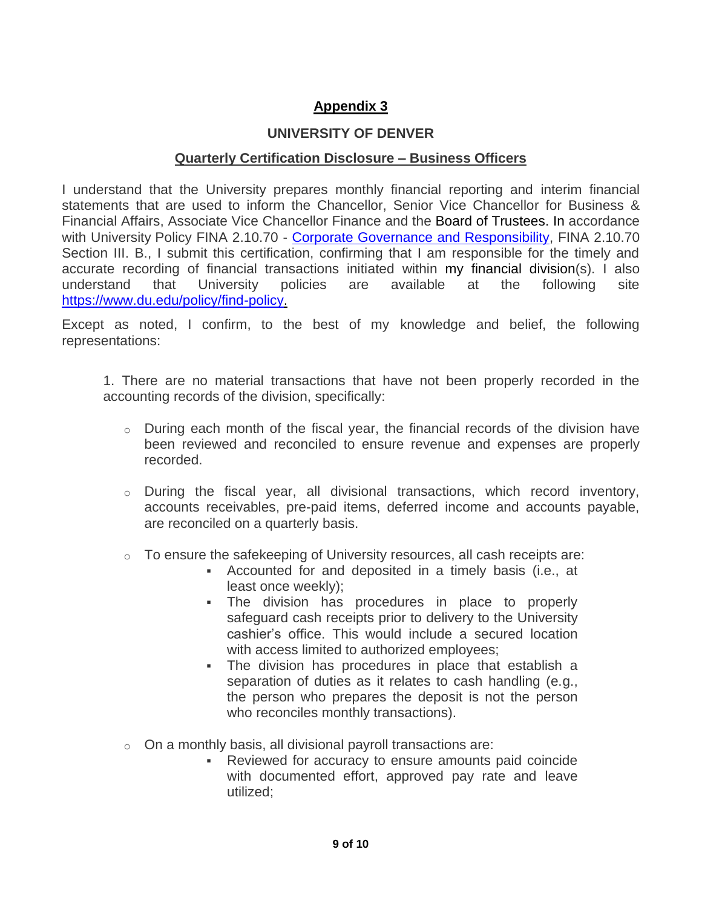# **Appendix 3**

# **UNIVERSITY OF DENVER**

#### **Quarterly Certification Disclosure – Business Officers**

I understand that the University prepares monthly financial reporting and interim financial statements that are used to inform the Chancellor, Senior Vice Chancellor for Business & Financial Affairs, Associate Vice Chancellor Finance and the Board of Trustees. In accordance with University Policy FINA 2.10.70 - Corporate [Governance and Responsibility,](https://www.du.edu/sites/default/files/2021-06/FINA%202.10.070%20corp%20governance.pdf) FINA 2.10.70 Section III. B., I submit this certification, confirming that I am responsible for the timely and accurate recording of financial transactions initiated within my financial division(s). I also understand that University policies are available at the following site [https://www.du.edu/policy/find-policy.](https://www.du.edu/policy/find-policy)

Except as noted, I confirm, to the best of my knowledge and belief, the following representations:

1. There are no material transactions that have not been properly recorded in the accounting records of the division, specifically:

- $\circ$  During each month of the fiscal year, the financial records of the division have been reviewed and reconciled to ensure revenue and expenses are properly recorded.
- o During the fiscal year, all divisional transactions, which record inventory, accounts receivables, pre-paid items, deferred income and accounts payable, are reconciled on a quarterly basis.
- o To ensure the safekeeping of University resources, all cash receipts are:
	- Accounted for and deposited in a timely basis (i.e., at least once weekly);
	- The division has procedures in place to properly safeguard cash receipts prior to delivery to the University cashier's office. This would include a secured location with access limited to authorized employees;
	- The division has procedures in place that establish a separation of duties as it relates to cash handling (e.g., the person who prepares the deposit is not the person who reconciles monthly transactions).
- $\circ$  On a monthly basis, all divisional payroll transactions are:
	- Reviewed for accuracy to ensure amounts paid coincide with documented effort, approved pay rate and leave utilized;